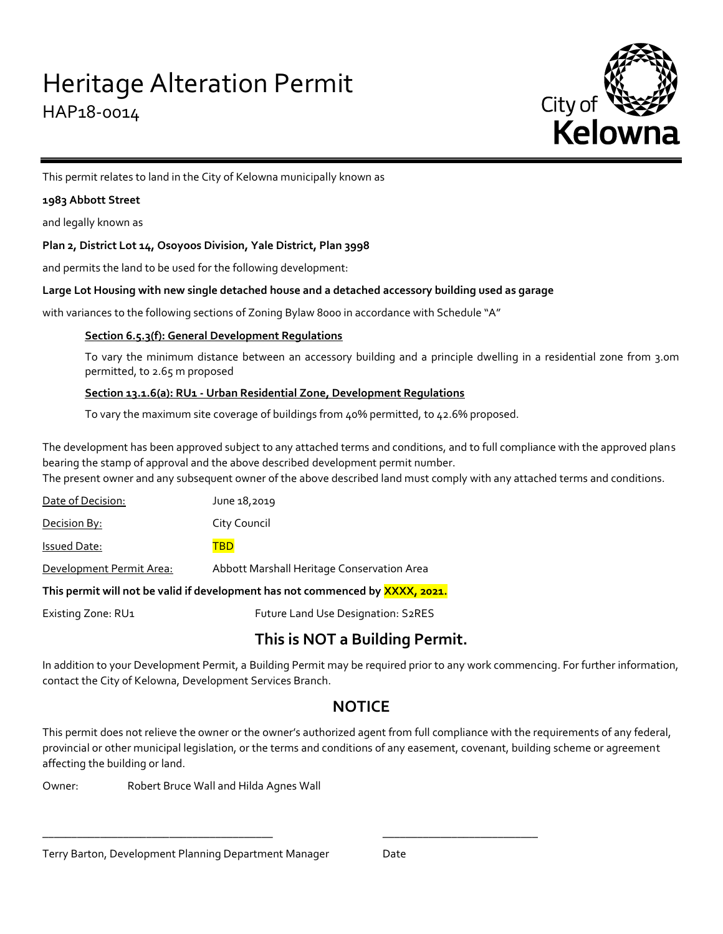

This permit relates to land in the City of Kelowna municipally known as

## **1983 Abbott Street**

and legally known as

## **Plan 2, District Lot 14, Osoyoos Division, Yale District, Plan 3998**

and permits the land to be used for the following development:

#### **Large Lot Housing with new single detached house and a detached accessory building used as garage**

with variances to the following sections of Zoning Bylaw 8000 in accordance with Schedule "A"

## **Section 6.5.3(f): General Development Regulations**

To vary the minimum distance between an accessory building and a principle dwelling in a residential zone from 3.0m permitted, to 2.65 m proposed

## **Section 13.1.6(a): RU1 - Urban Residential Zone, Development Regulations**

To vary the maximum site coverage of buildings from 40% permitted, to 42.6% proposed.

The development has been approved subject to any attached terms and conditions, and to full compliance with the approved plans bearing the stamp of approval and the above described development permit number.

The present owner and any subsequent owner of the above described land must comply with any attached terms and conditions.

Date of Decision: June 18,2019 **Decision By:** City Council Issued Date: TBD Development Permit Area: Abbott Marshall Heritage Conservation Area **This permit will not be valid if development has not commenced by XXXX, 2021.**

Existing Zone: RU1 Future Land Use Designation: S2RES

\_\_\_\_\_\_\_\_\_\_\_\_\_\_\_\_\_\_\_\_\_\_\_\_\_\_\_\_\_\_\_\_\_\_\_\_\_\_\_\_ \_\_\_\_\_\_\_\_\_\_\_\_\_\_\_\_\_\_\_\_\_\_\_\_\_\_\_

# **This is NOT a Building Permit.**

In addition to your Development Permit, a Building Permit may be required prior to any work commencing. For further information, contact the City of Kelowna, Development Services Branch.

# **NOTICE**

This permit does not relieve the owner or the owner's authorized agent from full compliance with the requirements of any federal, provincial or other municipal legislation, or the terms and conditions of any easement, covenant, building scheme or agreement affecting the building or land.

Owner: Robert Bruce Wall and Hilda Agnes Wall